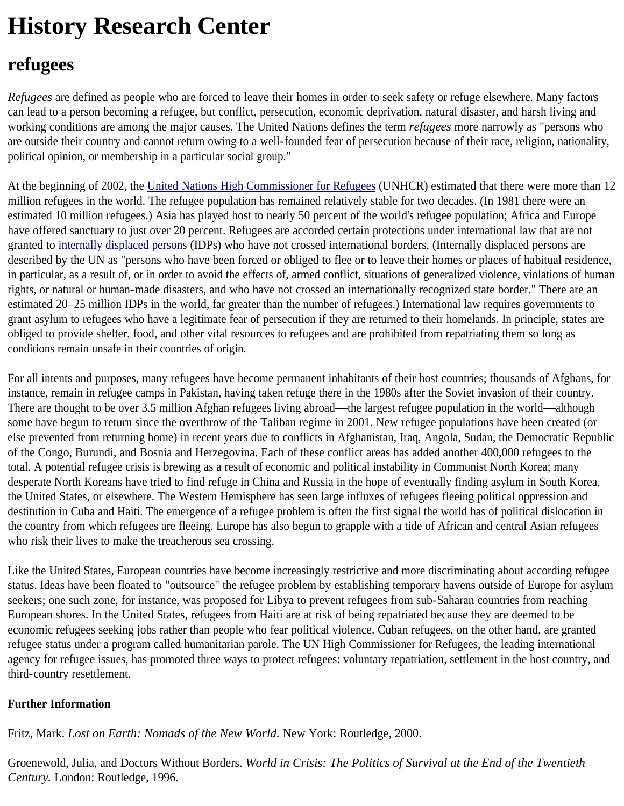## **History Research Center**

## **refugees**

*Refugees* are defined as people who are forced to leave their homes in order to seek safety or refuge elsewhere. Many factors can lead to a person becoming a refugee, but conflict, persecution, economic deprivation, natural disaster, and harsh living and working conditions are among the major causes. The United Nations defines the term *refugees* more narrowly as "persons who are outside their country and cannot return owing to a well-founded fear of persecution because of their race, religion, nationality, political opinion, or membership in a particular social group."

At the beginning of 2002, the United Nations High Commissioner for Refugees (UNHCR) estimated that there were more than 12 million refugees in the world. The refugee population has remained relatively stable for two decades. (In 1981 there were an estimated 10 million refugees.) Asia has played host to nearly 50 percent of the world's refugee population; Africa and Europe have offered sanctuary to just over 20 percent. Refugees are accorded certain protections under international law that are not granted to internally displaced persons (IDPs) who have not crossed international borders. (Internally displaced persons are described by the UN as "persons who have been forced or obliged to flee or to leave their homes or places of habitual residence, in particular, as a result of, or in order to avoid the effects of, armed conflict, situations of generalized violence, violations of human rights, or natural or human-made disasters, and who have not crossed an internationally recognized state border." There are an estimated 20–25 million IDPs in the world, far greater than the number of refugees.) International law requires governments to grant asylum to refugees who have a legitimate fear of persecution if they are returned to their homelands. In principle, states are obliged to provide shelter, food, and other vital resources to refugees and are prohibited from repatriating them so long as conditions remain unsafe in their countries of origin.

For all intents and purposes, many refugees have become permanent inhabitants of their host countries; thousands of Afghans, for instance, remain in refugee camps in Pakistan, having taken refuge there in the 1980s after the Soviet invasion of their country. There are thought to be over 3.5 million Afghan refugees living abroad—the largest refugee population in the world—although some have begun to return since the overthrow of the Taliban regime in 2001. New refugee populations have been created (or else prevented from returning home) in recent years due to conflicts in Afghanistan, Iraq, Angola, Sudan, the Democratic Republic of the Congo, Burundi, and Bosnia and Herzegovina. Each of these conflict areas has added another 400,000 refugees to the total. A potential refugee crisis is brewing as a result of economic and political instability in Communist North Korea; many desperate North Koreans have tried to find refuge in China and Russia in the hope of eventually finding asylum in South Korea, the United States, or elsewhere. The Western Hemisphere has seen large influxes of refugees fleeing political oppression and destitution in Cuba and Haiti. The emergence of a refugee problem is often the first signal the world has of political dislocation in the country from which refugees are fleeing. Europe has also begun to grapple with a tide of African and central Asian refugees who risk their lives to make the treacherous sea crossing.

Like the United States, European countries have become increasingly restrictive and more discriminating about according refugee status. Ideas have been floated to "outsource" the refugee problem by establishing temporary havens outside of Europe for asylum seekers; one such zone, for instance, was proposed for Libya to prevent refugees from sub-Saharan countries from reaching European shores. In the United States, refugees from Haiti are at risk of being repatriated because they are deemed to be economic refugees seeking jobs rather than people who fear political violence. Cuban refugees, on the other hand, are granted refugee status under a program called humanitarian parole. The UN High Commissioner for Refugees, the leading international agency for refugee issues, has promoted three ways to protect refugees: voluntary repatriation, settlement in the host country, and third-country resettlement.

## **Further Information**

Fritz, Mark. *Lost on Earth: Nomads of the New World.* New York: Routledge, 2000.

Groenewold, Julia, and Doctors Without Borders. *World in Crisis: The Politics of Survival at the End of the Twentieth Century.* London: Routledge, 1996.